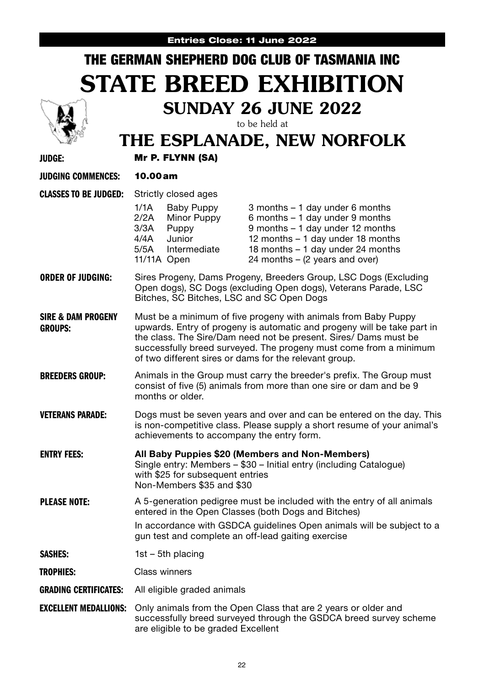## Entries Close: 11 June 2022 THE GERMAN SHEPHERD DOG CLUB OF TASMANIA INC STATE BREED EXHIBITION SUNDAY 26 JUNE 2022 to be held at THE ESPLANADE, NEW NORFOLK JUDGE: Mr P. FLYNN (SA) JUDGING COMMENCES: 10.00am CLASSES TO BE JUDGED: Strictly closed ages 1/1A Baby Puppy 3 months – 1 day under 6 months 2/2A Minor Puppy 6 months – 1 day under 9 months 3/3A Puppy 9 months – 1 day under 12 months<br>4/4A Junior 12 months – 1 day under 18 months 4/4A Junior 12 months – 1 day under 18 months<br>5/5A Intermediate 18 months – 1 day under 24 months 5/5A Intermediate 18 months – 1 day under 24 months<br>11/11A Open 24 months – (2 years and over)  $24$  months – (2 years and over) ORDER OF JUDGING: Sires Progeny, Dams Progeny, Breeders Group, LSC Dogs (Excluding Open dogs), SC Dogs (excluding Open dogs), Veterans Parade, LSC Bitches, SC Bitches, LSC and SC Open Dogs SIRE & DAM PROGENY GROUPS: Must be a minimum of five progeny with animals from Baby Puppy upwards. Entry of progeny is automatic and progeny will be take part in the class. The Sire/Dam need not be present. Sires/ Dams must be successfully breed surveyed. The progeny must come from a minimum of two different sires or dams for the relevant group. **BREEDERS GROUP:** Animals in the Group must carry the breeder's prefix. The Group must consist of five (5) animals from more than one sire or dam and be 9 months or older. **VETERANS PARADE:** Dogs must be seven years and over and can be entered on the day. This is non-competitive class. Please supply a short resume of your animal's achievements to accompany the entry form. ENTRY FEES: All Baby Puppies \$20 (Members and Non-Members) Single entry: Members – \$30 – Initial entry (including Catalogue) with \$25 for subsequent entries Non-Members \$35 and \$30 **PLEASE NOTE:** A 5-generation pedigree must be included with the entry of all animals entered in the Open Classes (both Dogs and Bitches) In accordance with GSDCA guidelines Open animals will be subject to a gun test and complete an off-lead gaiting exercise **SASHES:** 1st – 5th placing TROPHIES: Class winners GRADING CERTIFICATES: All eligible graded animals **EXCELLENT MEDALLIONS:** Only animals from the Open Class that are 2 years or older and successfully breed surveyed through the GSDCA breed survey scheme are eligible to be graded Excellent